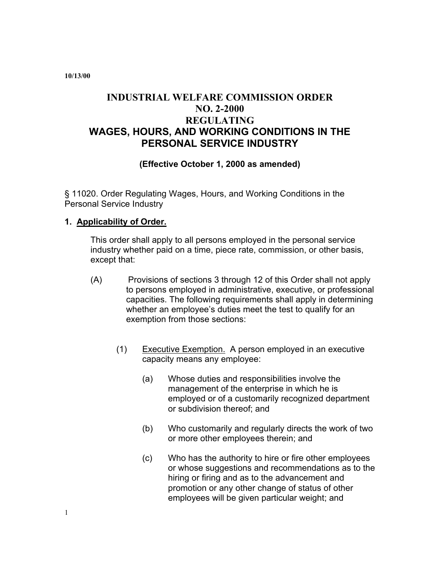**10/13/00** 

# **INDUSTRIAL WELFARE COMMISSION ORDER NO. 2-2000 REGULATING WAGES, HOURS, AND WORKING CONDITIONS IN THE PERSONAL SERVICE INDUSTRY**

## **(Effective October 1, 2000 as amended)**

§ 11020. Order Regulating Wages, Hours, and Working Conditions in the Personal Service Industry

#### **1. Applicability of Order.**

This order shall apply to all persons employed in the personal service industry whether paid on a time, piece rate, commission, or other basis, except that:

- (A) Provisions of sections 3 through 12 of this Order shall not apply to persons employed in administrative, executive, or professional capacities. The following requirements shall apply in determining whether an employee's duties meet the test to qualify for an exemption from those sections:
	- (1) Executive Exemption. A person employed in an executive capacity means any employee:
		- (a) Whose duties and responsibilities involve the management of the enterprise in which he is employed or of a customarily recognized department or subdivision thereof; and
		- (b) Who customarily and regularly directs the work of two or more other employees therein; and
		- (c) Who has the authority to hire or fire other employees or whose suggestions and recommendations as to the hiring or firing and as to the advancement and promotion or any other change of status of other employees will be given particular weight; and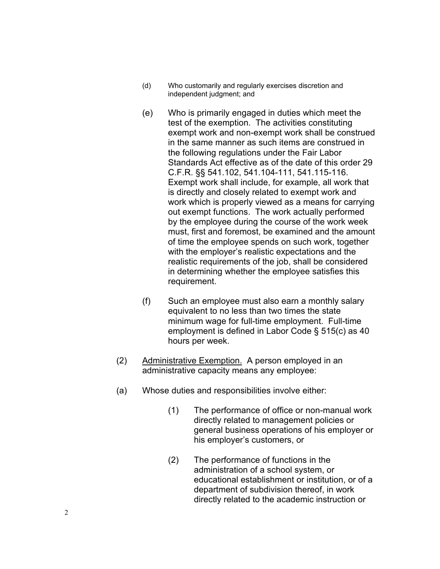- (d) Who customarily and regularly exercises discretion and independent judgment; and
- (e) Who is primarily engaged in duties which meet the test of the exemption. The activities constituting exempt work and non-exempt work shall be construed in the same manner as such items are construed in the following regulations under the Fair Labor Standards Act effective as of the date of this order 29 C.F.R. §§ 541.102, 541.104-111, 541.115-116. Exempt work shall include, for example, all work that is directly and closely related to exempt work and work which is properly viewed as a means for carrying out exempt functions. The work actually performed by the employee during the course of the work week must, first and foremost, be examined and the amount of time the employee spends on such work, together with the employer's realistic expectations and the realistic requirements of the job, shall be considered in determining whether the employee satisfies this requirement.
- (f) Such an employee must also earn a monthly salary equivalent to no less than two times the state minimum wage for full-time employment. Full-time employment is defined in Labor Code § 515(c) as 40 hours per week.
- (2) Administrative Exemption. A person employed in an administrative capacity means any employee:
- (a) Whose duties and responsibilities involve either:
	- (1) The performance of office or non-manual work directly related to management policies or general business operations of his employer or his employer's customers, or
	- (2) The performance of functions in the administration of a school system, or educational establishment or institution, or of a department of subdivision thereof, in work directly related to the academic instruction or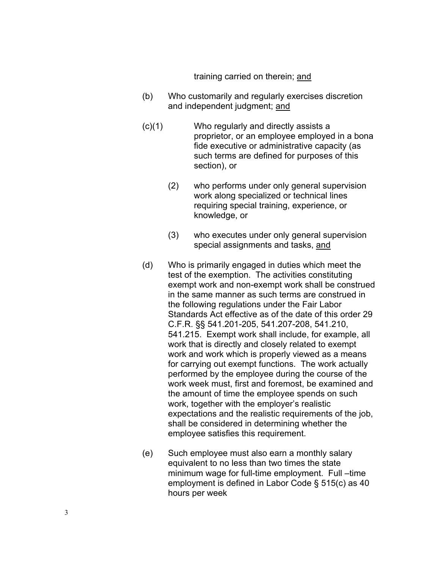training carried on therein; and

- (b) Who customarily and regularly exercises discretion and independent judgment; and
- $(c)(1)$ Who regularly and directly assists a proprietor, or an employee employed in a bona fide executive or administrative capacity (as such terms are defined for purposes of this section), or
	- (2) who performs under only general supervision work along specialized or technical lines requiring special training, experience, or knowledge, or
	- (3) who executes under only general supervision special assignments and tasks, and
- (d) Who is primarily engaged in duties which meet the test of the exemption. The activities constituting exempt work and non-exempt work shall be construed in the same manner as such terms are construed in the following regulations under the Fair Labor Standards Act effective as of the date of this order 29 C.F.R. §§ 541.201-205, 541.207-208, 541.210, 541.215. Exempt work shall include, for example, all work that is directly and closely related to exempt work and work which is properly viewed as a means for carrying out exempt functions. The work actually performed by the employee during the course of the work week must, first and foremost, be examined and the amount of time the employee spends on such work, together with the employer's realistic expectations and the realistic requirements of the job, shall be considered in determining whether the employee satisfies this requirement.
- (e) Such employee must also earn a monthly salary equivalent to no less than two times the state minimum wage for full-time employment. Full –time employment is defined in Labor Code § 515(c) as 40 hours per week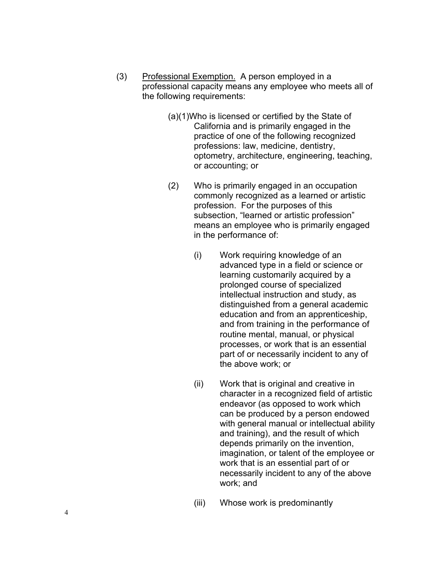- (3) Professional Exemption. A person employed in a professional capacity means any employee who meets all of the following requirements:
	- (a)(1)Who is licensed or certified by the State of California and is primarily engaged in the practice of one of the following recognized professions: law, medicine, dentistry, optometry, architecture, engineering, teaching, or accounting; or
	- (2) Who is primarily engaged in an occupation commonly recognized as a learned or artistic profession. For the purposes of this subsection, "learned or artistic profession" means an employee who is primarily engaged in the performance of:
		- (i) Work requiring knowledge of an advanced type in a field or science or learning customarily acquired by a prolonged course of specialized intellectual instruction and study, as distinguished from a general academic education and from an apprenticeship, and from training in the performance of routine mental, manual, or physical processes, or work that is an essential part of or necessarily incident to any of the above work; or
		- (ii) Work that is original and creative in character in a recognized field of artistic endeavor (as opposed to work which can be produced by a person endowed with general manual or intellectual ability and training), and the result of which depends primarily on the invention, imagination, or talent of the employee or work that is an essential part of or necessarily incident to any of the above work; and
		- (iii) Whose work is predominantly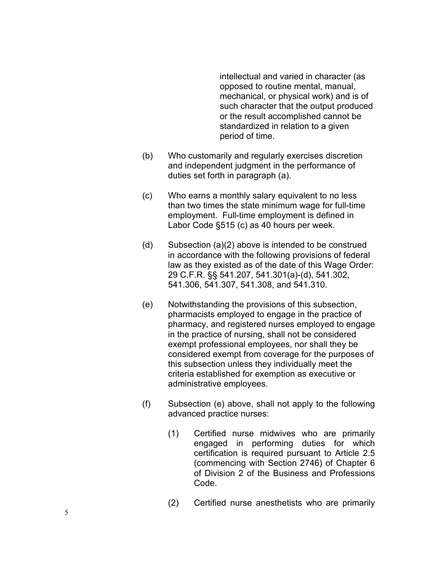intellectual and varied in character (as opposed to routine mental, manual, mechanical, or physical work) and is of such character that the output produced or the result accomplished cannot be standardized in relation to a given period of time.

- (b) Who customarily and regularly exercises discretion and independent judgment in the performance of duties set forth in paragraph (a).
- (c) Who earns a monthly salary equivalent to no less than two times the state minimum wage for full-time employment. Full-time employment is defined in Labor Code §515 (c) as 40 hours per week.
- (d) Subsection (a)(2) above is intended to be construed in accordance with the following provisions of federal law as they existed as of the date of this Wage Order: 29 C.F.R. §§ 541.207, 541.301(a)-(d), 541.302, 541.306, 541.307, 541.308, and 541.310.
- (e) Notwithstanding the provisions of this subsection, pharmacists employed to engage in the practice of pharmacy, and registered nurses employed to engage in the practice of nursing, shall not be considered exempt professional employees, nor shall they be considered exempt from coverage for the purposes of this subsection unless they individually meet the criteria established for exemption as executive or administrative employees.
- (f) Subsection (e) above, shall not apply to the following advanced practice nurses:
	- (1) Certified nurse midwives who are primarily engaged in performing duties for which certification is required pursuant to Article 2.5 (commencing with Section 2746) of Chapter 6 of Division 2 of the Business and Professions Code.
	- (2) Certified nurse anesthetists who are primarily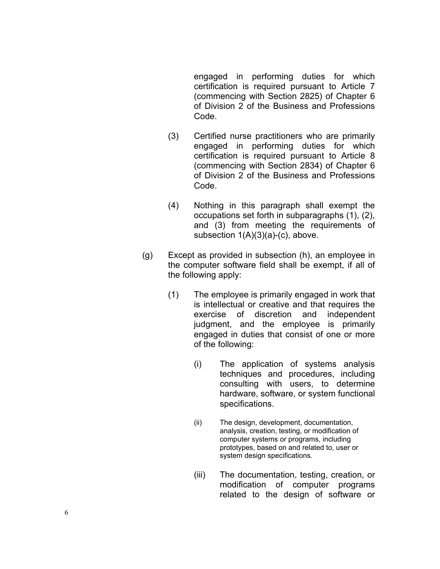engaged in performing duties for which certification is required pursuant to Article 7 (commencing with Section 2825) of Chapter 6 of Division 2 of the Business and Professions Code.

- (3) Certified nurse practitioners who are primarily engaged in performing duties for which certification is required pursuant to Article 8 (commencing with Section 2834) of Chapter 6 of Division 2 of the Business and Professions Code.
- (4) Nothing in this paragraph shall exempt the occupations set forth in subparagraphs (1), (2), and (3) from meeting the requirements of subsection 1(A)(3)(a)-(c), above.
- the computer software field shall be exempt, if all of (g) Except as provided in subsection (h), an employee in the following apply:
	- (1) The employee is primarily engaged in work that is intellectual or creative and that requires the exercise of discretion and independent judgment, and the employee is primarily engaged in duties that consist of one or more of the following:
		- (i) The application of systems analysis techniques and procedures, including consulting with users, to determine hardware, software, or system functional specifications.
		- (ii) The design, development, documentation, analysis, creation, testing, or modification of computer systems or programs, including prototypes, based on and related to, user or system design specifications.
		- (iii) The documentation, testing, creation, or modification of computer programs related to the design of software or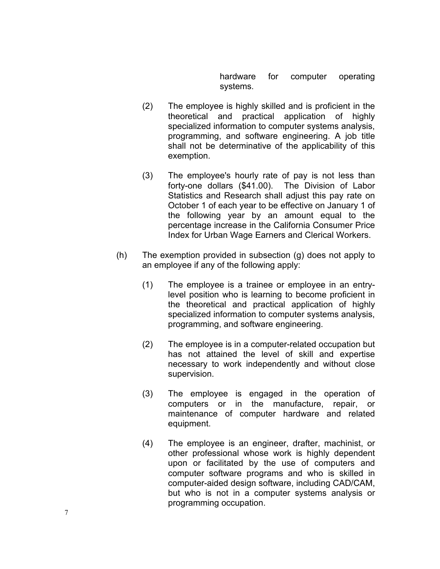hardware for computer operating systems.

- (2) The employee is highly skilled and is proficient in the theoretical and practical application of highly specialized information to computer systems analysis, programming, and software engineering. A job title shall not be determinative of the applicability of this exemption.
- (3) The employee's hourly rate of pay is not less than forty-one dollars (\$41.00). The Division of Labor Statistics and Research shall adjust this pay rate on October 1 of each year to be effective on January 1 of the following year by an amount equal to the percentage increase in the California Consumer Price Index for Urban Wage Earners and Clerical Workers.
- (h) The exemption provided in subsection (g) does not apply to an employee if any of the following apply:
	- $(1)$  The employee is a trainee or employee in an entrylevel position who is learning to become proficient in the theoretical and practical application of highly specialized information to computer systems analysis, programming, and software engineering.
	- (2) The employee is in a computer-related occupation but has not attained the level of skill and expertise necessary to work independently and without close supervision.
	- (3) The employee is engaged in the operation of computers or in the manufacture, repair, or maintenance of computer hardware and related equipment.
	- (4) The employee is an engineer, drafter, machinist, or other professional whose work is highly dependent upon or facilitated by the use of computers and computer software programs and who is skilled in computer-aided design software, including CAD/CAM, but who is not in a computer systems analysis or programming occupation.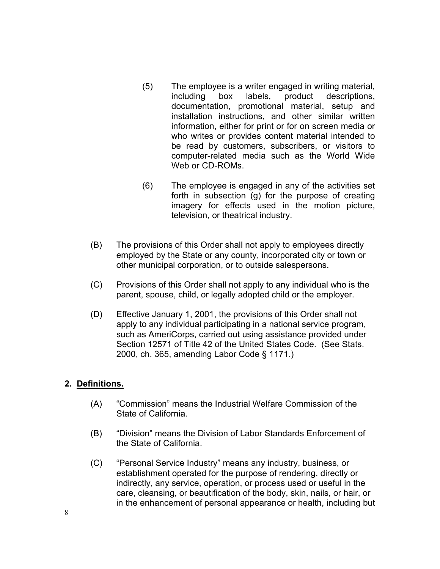- $(5)$ The employee is a writer engaged in writing material, including box labels, product descriptions, documentation, promotional material, setup and installation instructions, and other similar written information, either for print or for on screen media or who writes or provides content material intended to be read by customers, subscribers, or visitors to computer-related media such as the World Wide Web or CD-ROMs.
- $(6)$ The employee is engaged in any of the activities set forth in subsection (g) for the purpose of creating imagery for effects used in the motion picture, television, or theatrical industry.
- (B) The provisions of this Order shall not apply to employees directly employed by the State or any county, incorporated city or town or other municipal corporation, or to outside salespersons.
- (C) Provisions of this Order shall not apply to any individual who is the parent, spouse, child, or legally adopted child or the employer.
- (D) Effective January 1, 2001, the provisions of this Order shall not apply to any individual participating in a national service program, such as AmeriCorps, carried out using assistance provided under Section 12571 of Title 42 of the United States Code. (See Stats. 2000, ch. 365, amending Labor Code § 1171.)

### **2. Definitions.**

- (A) "Commission" means the Industrial Welfare Commission of the State of California.
- (B) "Division" means the Division of Labor Standards Enforcement of the State of California.
- (C) "Personal Service Industry" means any industry, business, or establishment operated for the purpose of rendering, directly or indirectly, any service, operation, or process used or useful in the care, cleansing, or beautification of the body, skin, nails, or hair, or in the enhancement of personal appearance or health, including but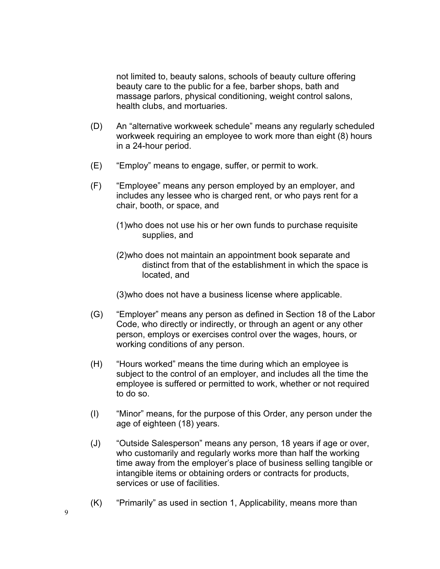not limited to, beauty salons, schools of beauty culture offering beauty care to the public for a fee, barber shops, bath and massage parlors, physical conditioning, weight control salons, health clubs, and mortuaries.

- (D) An "alternative workweek schedule" means any regularly scheduled workweek requiring an employee to work more than eight (8) hours in a 24-hour period.
- (E) "Employ" means to engage, suffer, or permit to work.
- (F) "Employee" means any person employed by an employer, and includes any lessee who is charged rent, or who pays rent for a chair, booth, or space, and
	- (1)who does not use his or her own funds to purchase requisite supplies, and
	- (2)who does not maintain an appointment book separate and distinct from that of the establishment in which the space is located, and
	- (3)who does not have a business license where applicable.
- (G) "Employer" means any person as defined in Section 18 of the Labor Code, who directly or indirectly, or through an agent or any other person, employs or exercises control over the wages, hours, or working conditions of any person.
- (H) "Hours worked" means the time during which an employee is subject to the control of an employer, and includes all the time the employee is suffered or permitted to work, whether or not required to do so.
- (I) "Minor" means, for the purpose of this Order, any person under the age of eighteen (18) years.
- (J) "Outside Salesperson" means any person, 18 years if age or over, who customarily and regularly works more than half the working time away from the employer's place of business selling tangible or intangible items or obtaining orders or contracts for products, services or use of facilities.
- $(K)$  "Primarily" as used in section 1, Applicability, means more than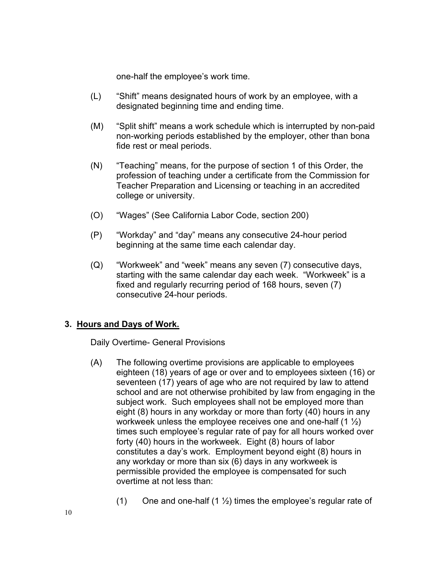one-half the employee's work time.

- (L) "Shift" means designated hours of work by an employee, with a designated beginning time and ending time.
- (M) "Split shift" means a work schedule which is interrupted by non-paid non-working periods established by the employer, other than bona fide rest or meal periods.
- (N) "Teaching" means, for the purpose of section 1 of this Order, the profession of teaching under a certificate from the Commission for Teacher Preparation and Licensing or teaching in an accredited college or university.
- $(O)$ "Wages" (See California Labor Code, section 200)
- (P) "Workday" and "day" means any consecutive 24-hour period beginning at the same time each calendar day.
- (Q) "Workweek" and "week" means any seven (7) consecutive days, starting with the same calendar day each week. "Workweek" is a fixed and regularly recurring period of 168 hours, seven (7) consecutive 24-hour periods.

### **3. Hours and Days of Work.**

Daily Overtime- General Provisions

- (A) The following overtime provisions are applicable to employees eighteen (18) years of age or over and to employees sixteen (16) or seventeen (17) years of age who are not required by law to attend school and are not otherwise prohibited by law from engaging in the subject work. Such employees shall not be employed more than eight (8) hours in any workday or more than forty (40) hours in any workweek unless the employee receives one and one-half  $(1 \frac{1}{2})$ times such employee's regular rate of pay for all hours worked over forty (40) hours in the workweek. Eight (8) hours of labor constitutes a day's work. Employment beyond eight (8) hours in any workday or more than six (6) days in any workweek is permissible provided the employee is compensated for such overtime at not less than:
	- (1) One and one-half (1  $\frac{1}{2}$ ) times the employee's regular rate of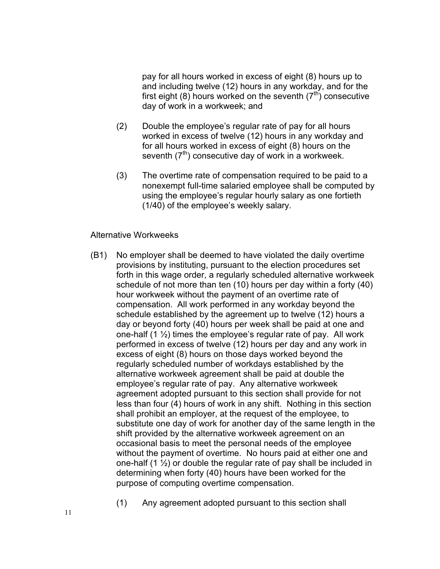pay for all hours worked in excess of eight (8) hours up to and including twelve (12) hours in any workday, and for the first eight (8) hours worked on the seventh  $(7<sup>th</sup>)$  consecutive day of work in a workweek; and

- (2) Double the employee's regular rate of pay for all hours worked in excess of twelve (12) hours in any workday and for all hours worked in excess of eight (8) hours on the seventh  $(7<sup>th</sup>)$  consecutive day of work in a workweek.
- (3) The overtime rate of compensation required to be paid to a nonexempt full-time salaried employee shall be computed by using the employee's regular hourly salary as one fortieth (1/40) of the employee's weekly salary.

#### Alternative Workweeks

- (B1) No employer shall be deemed to have violated the daily overtime provisions by instituting, pursuant to the election procedures set forth in this wage order, a regularly scheduled alternative workweek schedule of not more than ten (10) hours per day within a forty (40) hour workweek without the payment of an overtime rate of compensation. All work performed in any workday beyond the schedule established by the agreement up to twelve (12) hours a day or beyond forty (40) hours per week shall be paid at one and one-half  $(1 \frac{1}{2})$  times the employee's regular rate of pay. All work performed in excess of twelve (12) hours per day and any work in excess of eight (8) hours on those days worked beyond the regularly scheduled number of workdays established by the alternative workweek agreement shall be paid at double the employee's regular rate of pay. Any alternative workweek agreement adopted pursuant to this section shall provide for not less than four (4) hours of work in any shift. Nothing in this section shall prohibit an employer, at the request of the employee, to substitute one day of work for another day of the same length in the shift provided by the alternative workweek agreement on an occasional basis to meet the personal needs of the employee without the payment of overtime. No hours paid at either one and one-half  $(1 \frac{1}{2})$  or double the regular rate of pay shall be included in determining when forty (40) hours have been worked for the purpose of computing overtime compensation.
	- (1) Any agreement adopted pursuant to this section shall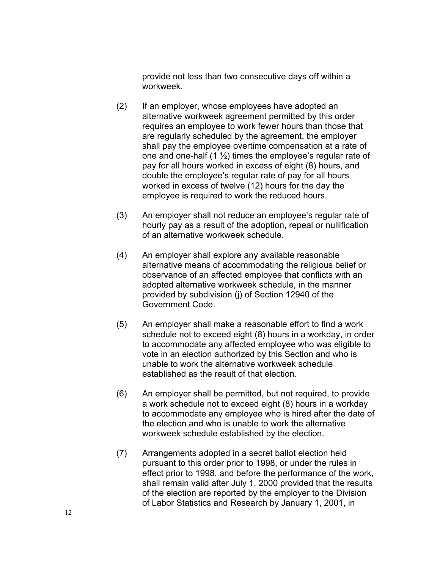provide not less than two consecutive days off within a workweek.

- (2) If an employer, whose employees have adopted an alternative workweek agreement permitted by this order requires an employee to work fewer hours than those that are regularly scheduled by the agreement, the employer shall pay the employee overtime compensation at a rate of one and one-half (1  $\frac{1}{2}$ ) times the employee's regular rate of pay for all hours worked in excess of eight (8) hours, and double the employee's regular rate of pay for all hours worked in excess of twelve (12) hours for the day the employee is required to work the reduced hours.
- (3) An employer shall not reduce an employee's regular rate of hourly pay as a result of the adoption, repeal or nullification of an alternative workweek schedule.
- (4) An employer shall explore any available reasonable alternative means of accommodating the religious belief or observance of an affected employee that conflicts with an adopted alternative workweek schedule, in the manner provided by subdivision (j) of Section 12940 of the Government Code.
- (5) An employer shall make a reasonable effort to find a work schedule not to exceed eight (8) hours in a workday, in order to accommodate any affected employee who was eligible to vote in an election authorized by this Section and who is unable to work the alternative workweek schedule established as the result of that election.
- (6) An employer shall be permitted, but not required, to provide a work schedule not to exceed eight (8) hours in a workday to accommodate any employee who is hired after the date of the election and who is unable to work the alternative workweek schedule established by the election.
- (7) Arrangements adopted in a secret ballot election held pursuant to this order prior to 1998, or under the rules in effect prior to 1998, and before the performance of the work, shall remain valid after July 1, 2000 provided that the results of the election are reported by the employer to the Division of Labor Statistics and Research by January 1, 2001, in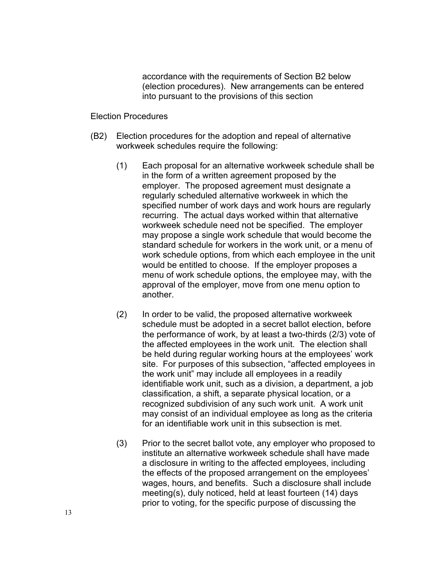accordance with the requirements of Section B2 below (election procedures). New arrangements can be entered into pursuant to the provisions of this section

#### Election Procedures

- (B2) Election procedures for the adoption and repeal of alternative workweek schedules require the following:
	- (1) Each proposal for an alternative workweek schedule shall be in the form of a written agreement proposed by the employer. The proposed agreement must designate a regularly scheduled alternative workweek in which the specified number of work days and work hours are regularly recurring. The actual days worked within that alternative workweek schedule need not be specified. The employer may propose a single work schedule that would become the standard schedule for workers in the work unit, or a menu of work schedule options, from which each employee in the unit would be entitled to choose. If the employer proposes a menu of work schedule options, the employee may, with the approval of the employer, move from one menu option to another.
	- (2) In order to be valid, the proposed alternative workweek schedule must be adopted in a secret ballot election, before the performance of work, by at least a two-thirds (2/3) vote of the affected employees in the work unit. The election shall be held during regular working hours at the employees' work site. For purposes of this subsection, "affected employees in the work unit" may include all employees in a readily identifiable work unit, such as a division, a department, a job classification, a shift, a separate physical location, or a recognized subdivision of any such work unit. A work unit may consist of an individual employee as long as the criteria for an identifiable work unit in this subsection is met.
	- (3) Prior to the secret ballot vote, any employer who proposed to institute an alternative workweek schedule shall have made a disclosure in writing to the affected employees, including the effects of the proposed arrangement on the employees' wages, hours, and benefits. Such a disclosure shall include meeting(s), duly noticed, held at least fourteen (14) days prior to voting, for the specific purpose of discussing the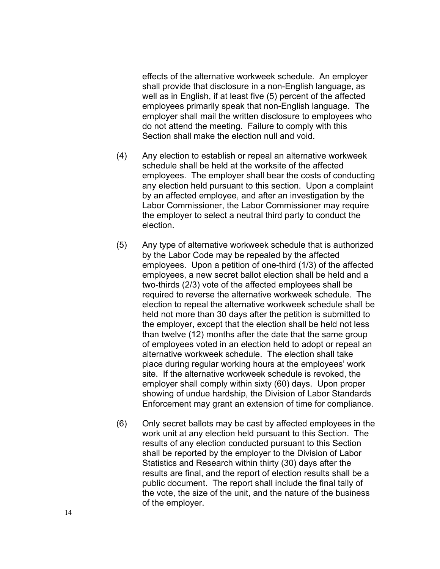effects of the alternative workweek schedule. An employer shall provide that disclosure in a non-English language, as well as in English, if at least five (5) percent of the affected employees primarily speak that non-English language. The employer shall mail the written disclosure to employees who do not attend the meeting. Failure to comply with this Section shall make the election null and void.

- (4) Any election to establish or repeal an alternative workweek schedule shall be held at the worksite of the affected employees. The employer shall bear the costs of conducting any election held pursuant to this section. Upon a complaint by an affected employee, and after an investigation by the Labor Commissioner, the Labor Commissioner may require the employer to select a neutral third party to conduct the election.
- (5) Any type of alternative workweek schedule that is authorized by the Labor Code may be repealed by the affected employees. Upon a petition of one-third (1/3) of the affected employees, a new secret ballot election shall be held and a two-thirds (2/3) vote of the affected employees shall be required to reverse the alternative workweek schedule. The election to repeal the alternative workweek schedule shall be held not more than 30 days after the petition is submitted to the employer, except that the election shall be held not less than twelve (12) months after the date that the same group of employees voted in an election held to adopt or repeal an alternative workweek schedule. The election shall take place during regular working hours at the employees' work site. If the alternative workweek schedule is revoked, the employer shall comply within sixty (60) days. Upon proper showing of undue hardship, the Division of Labor Standards Enforcement may grant an extension of time for compliance.
- (6) Only secret ballots may be cast by affected employees in the work unit at any election held pursuant to this Section. The results of any election conducted pursuant to this Section shall be reported by the employer to the Division of Labor Statistics and Research within thirty (30) days after the results are final, and the report of election results shall be a public document. The report shall include the final tally of the vote, the size of the unit, and the nature of the business of the employer.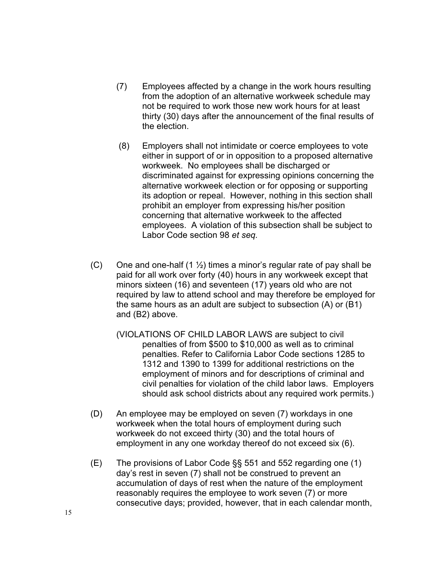- (7) Employees affected by a change in the work hours resulting from the adoption of an alternative workweek schedule may not be required to work those new work hours for at least thirty (30) days after the announcement of the final results of the election.
- (8) Employers shall not intimidate or coerce employees to vote either in support of or in opposition to a proposed alternative workweek. No employees shall be discharged or discriminated against for expressing opinions concerning the alternative workweek election or for opposing or supporting its adoption or repeal. However, nothing in this section shall prohibit an employer from expressing his/her position concerning that alternative workweek to the affected employees. A violation of this subsection shall be subject to Labor Code section 98 *et seq.*
- (C) One and one-half  $(1 \frac{1}{2})$  times a minor's regular rate of pay shall be paid for all work over forty (40) hours in any workweek except that minors sixteen (16) and seventeen (17) years old who are not required by law to attend school and may therefore be employed for the same hours as an adult are subject to subsection (A) or (B1) and (B2) above.
	- (VIOLATIONS OF CHILD LABOR LAWS are subject to civil penalties of from \$500 to \$10,000 as well as to criminal penalties. Refer to California Labor Code sections 1285 to 1312 and 1390 to 1399 for additional restrictions on the employment of minors and for descriptions of criminal and civil penalties for violation of the child labor laws. Employers should ask school districts about any required work permits.)
- (D) An employee may be employed on seven (7) workdays in one workweek when the total hours of employment during such workweek do not exceed thirty (30) and the total hours of employment in any one workday thereof do not exceed six (6).
- $(E)$  The provisions of Labor Code §§ 551 and 552 regarding one (1) day's rest in seven (7) shall not be construed to prevent an accumulation of days of rest when the nature of the employment reasonably requires the employee to work seven (7) or more consecutive days; provided, however, that in each calendar month,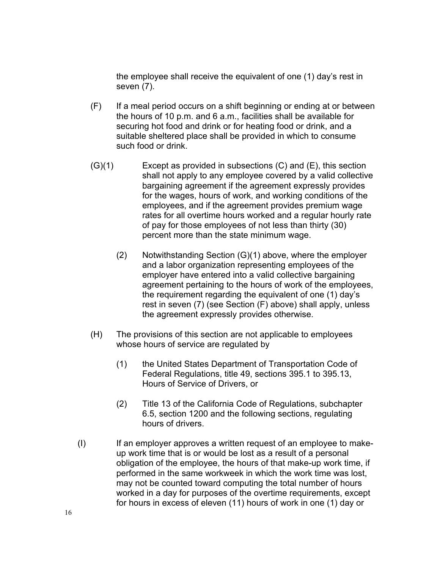the employee shall receive the equivalent of one (1) day's rest in seven (7).

- (F) If a meal period occurs on a shift beginning or ending at or between the hours of 10 p.m. and 6 a.m., facilities shall be available for securing hot food and drink or for heating food or drink, and a suitable sheltered place shall be provided in which to consume such food or drink.
- (G)(1) Except as provided in subsections (C) and (E), this section shall not apply to any employee covered by a valid collective bargaining agreement if the agreement expressly provides for the wages, hours of work, and working conditions of the employees, and if the agreement provides premium wage rates for all overtime hours worked and a regular hourly rate of pay for those employees of not less than thirty (30) percent more than the state minimum wage.
	- $(2)$  Notwithstanding Section  $(G)(1)$  above, where the employer and a labor organization representing employees of the employer have entered into a valid collective bargaining agreement pertaining to the hours of work of the employees, the requirement regarding the equivalent of one (1) day's rest in seven (7) (see Section (F) above) shall apply, unless the agreement expressly provides otherwise.
- (H) The provisions of this section are not applicable to employees whose hours of service are regulated by
	- (1) the United States Department of Transportation Code of Federal Regulations, title 49, sections 395.1 to 395.13, Hours of Service of Drivers, or
	- (2) Title 13 of the California Code of Regulations, subchapter 6.5, section 1200 and the following sections, regulating hours of drivers.
- (I) If an employer approves a written request of an employee to makeup work time that is or would be lost as a result of a personal obligation of the employee, the hours of that make-up work time, if performed in the same workweek in which the work time was lost, may not be counted toward computing the total number of hours worked in a day for purposes of the overtime requirements, except for hours in excess of eleven (11) hours of work in one (1) day or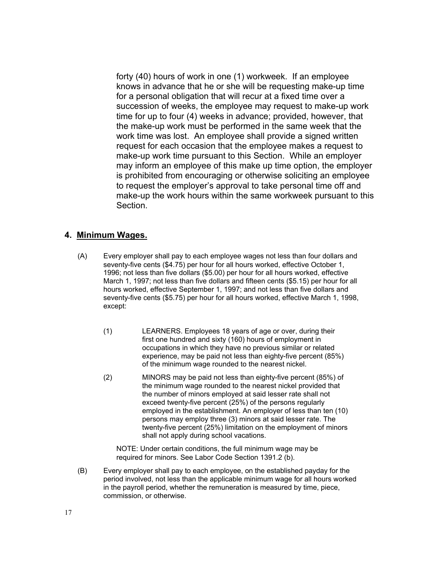forty (40) hours of work in one (1) workweek. If an employee knows in advance that he or she will be requesting make-up time for a personal obligation that will recur at a fixed time over a succession of weeks, the employee may request to make-up work time for up to four (4) weeks in advance; provided, however, that the make-up work must be performed in the same week that the work time was lost. An employee shall provide a signed written request for each occasion that the employee makes a request to make-up work time pursuant to this Section. While an employer may inform an employee of this make up time option, the employer is prohibited from encouraging or otherwise soliciting an employee to request the employer's approval to take personal time off and make-up the work hours within the same workweek pursuant to this Section.

#### **4. Minimum Wages.**

- (A) Every employer shall pay to each employee wages not less than four dollars and seventy-five cents (\$4.75) per hour for all hours worked, effective October 1, 1996; not less than five dollars (\$5.00) per hour for all hours worked, effective March 1, 1997; not less than five dollars and fifteen cents (\$5.15) per hour for all hours worked, effective September 1, 1997; and not less than five dollars and seventy-five cents (\$5.75) per hour for all hours worked, effective March 1, 1998, except:
	- $(1)$ LEARNERS. Employees 18 years of age or over, during their first one hundred and sixty (160) hours of employment in occupations in which they have no previous similar or related experience, may be paid not less than eighty-five percent (85%) of the minimum wage rounded to the nearest nickel.
	- $(2)$ MINORS may be paid not less than eighty-five percent (85%) of the minimum wage rounded to the nearest nickel provided that the number of minors employed at said lesser rate shall not exceed twenty-five percent (25%) of the persons regularly employed in the establishment. An employer of less than ten (10) persons may employ three (3) minors at said lesser rate. The twenty-five percent (25%) limitation on the employment of minors shall not apply during school vacations.

NOTE: Under certain conditions, the full minimum wage may be required for minors. See Labor Code Section 1391.2 (b).

(B) Every employer shall pay to each employee, on the established payday for the period involved, not less than the applicable minimum wage for all hours worked in the payroll period, whether the remuneration is measured by time, piece, commission, or otherwise.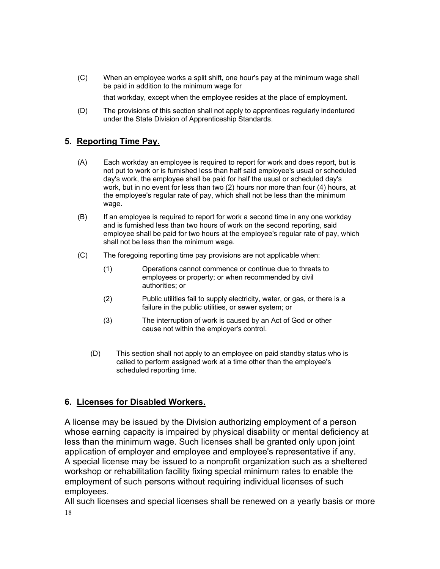(C) When an employee works a split shift, one hour's pay at the minimum wage shall be paid in addition to the minimum wage for

that workday, except when the employee resides at the place of employment.

(D) The provisions of this section shall not apply to apprentices regularly indentured under the State Division of Apprenticeship Standards.

## **5. Reporting Time Pay.**

- (A) Each workday an employee is required to report for work and does report, but is not put to work or is furnished less than half said employee's usual or scheduled day's work, the employee shall be paid for half the usual or scheduled day's work, but in no event for less than two (2) hours nor more than four (4) hours, at the employee's regular rate of pay, which shall not be less than the minimum wage.
- (B) If an employee is required to report for work a second time in any one workday and is furnished less than two hours of work on the second reporting, said employee shall be paid for two hours at the employee's regular rate of pay, which shall not be less than the minimum wage.
- $(C)$ The foregoing reporting time pay provisions are not applicable when:
	- $(1)$ Operations cannot commence or continue due to threats to employees or property; or when recommended by civil authorities; or
	- $(2)$ Public utilities fail to supply electricity, water, or gas, or there is a failure in the public utilities, or sewer system; or
	- $(3)$ The interruption of work is caused by an Act of God or other cause not within the employer's control.
	- $(D)$ This section shall not apply to an employee on paid standby status who is called to perform assigned work at a time other than the employee's scheduled reporting time.

## **6. Licenses for Disabled Workers.**

A license may be issued by the Division authorizing employment of a person whose earning capacity is impaired by physical disability or mental deficiency at less than the minimum wage. Such licenses shall be granted only upon joint application of employer and employee and employee's representative if any. A special license may be issued to a nonprofit organization such as a sheltered workshop or rehabilitation facility fixing special minimum rates to enable the employment of such persons without requiring individual licenses of such employees.

All such licenses and special licenses shall be renewed on a yearly basis or more 18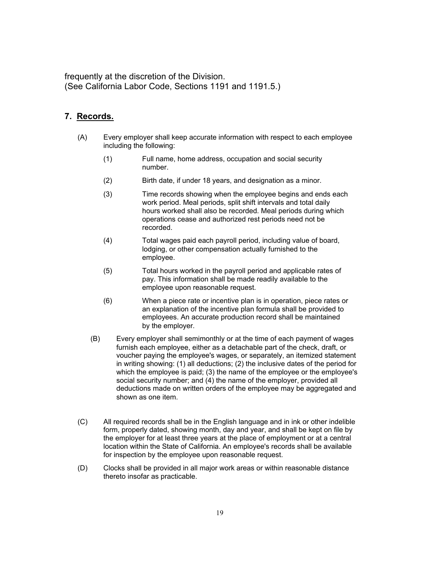frequently at the discretion of the Division. (See California Labor Code, Sections 1191 and 1191.5.)

### **7. Records.**

- (A) Every employer shall keep accurate information with respect to each employee including the following:
	- $(1)$ Full name, home address, occupation and social security number.
	- $(2)$ Birth date, if under 18 years, and designation as a minor.
	- $(3)$ Time records showing when the employee begins and ends each work period. Meal periods, split shift intervals and total daily hours worked shall also be recorded. Meal periods during which operations cease and authorized rest periods need not be recorded.
	- $(4)$ Total wages paid each payroll period, including value of board, lodging, or other compensation actually furnished to the employee.
	- $(5)$ Total hours worked in the payroll period and applicable rates of pay. This information shall be made readily available to the employee upon reasonable request.
	- $(6)$ When a piece rate or incentive plan is in operation, piece rates or an explanation of the incentive plan formula shall be provided to employees. An accurate production record shall be maintained by the employer.
	- $(B)$ Every employer shall semimonthly or at the time of each payment of wages furnish each employee, either as a detachable part of the check, draft, or voucher paying the employee's wages, or separately, an itemized statement in writing showing: (1) all deductions; (2) the inclusive dates of the period for which the employee is paid; (3) the name of the employee or the employee's social security number; and (4) the name of the employer, provided all deductions made on written orders of the employee may be aggregated and shown as one item.
- $(C)$ All required records shall be in the English language and in ink or other indelible form, properly dated, showing month, day and year, and shall be kept on file by the employer for at least three years at the place of employment or at a central location within the State of California. An employee's records shall be available for inspection by the employee upon reasonable request.
- (D) Clocks shall be provided in all major work areas or within reasonable distance thereto insofar as practicable.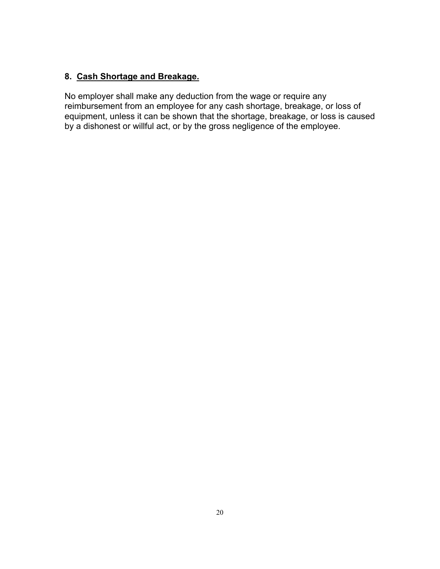## **8. Cash Shortage and Breakage.**

No employer shall make any deduction from the wage or require any reimbursement from an employee for any cash shortage, breakage, or loss of equipment, unless it can be shown that the shortage, breakage, or loss is caused by a dishonest or willful act, or by the gross negligence of the employee.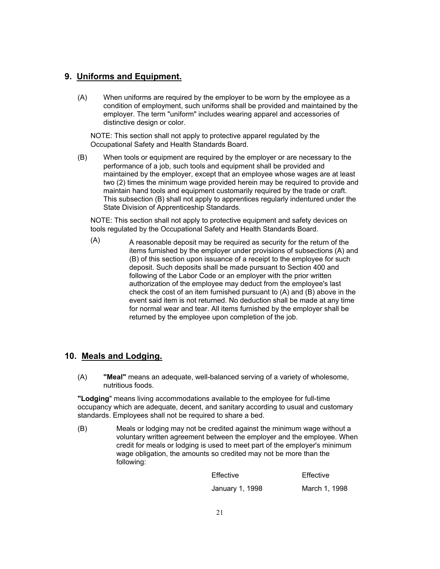### **9. Uniforms and Equipment.**

(A) When uniforms are required by the employer to be worn by the employee as a condition of employment, such uniforms shall be provided and maintained by the employer. The term "uniform" includes wearing apparel and accessories of distinctive design or color.

NOTE: This section shall not apply to protective apparel regulated by the Occupational Safety and Health Standards Board.

(B) When tools or equipment are required by the employer or are necessary to the performance of a job, such tools and equipment shall be provided and maintained by the employer, except that an employee whose wages are at least two (2) times the minimum wage provided herein may be required to provide and maintain hand tools and equipment customarily required by the trade or craft. This subsection (B) shall not apply to apprentices regularly indentured under the State Division of Apprenticeship Standards.

NOTE: This section shall not apply to protective equipment and safety devices on tools regulated by the Occupational Safety and Health Standards Board.

 $(A)$  A reasonable deposit may be required as security for the return of the items furnished by the employer under provisions of subsections (A) and (B) of this section upon issuance of a receipt to the employee for such deposit. Such deposits shall be made pursuant to Section 400 and following of the Labor Code or an employer with the prior written authorization of the employee may deduct from the employee's last check the cost of an item furnished pursuant to (A) and (B) above in the event said item is not returned. No deduction shall be made at any time for normal wear and tear. All items furnished by the employer shall be returned by the employee upon completion of the job.

### **10. Meals and Lodging.**

(A) **"Meal"** means an adequate, well-balanced serving of a variety of wholesome, nutritious foods.

**"Lodging**" means living accommodations available to the employee for full-time occupancy which are adequate, decent, and sanitary according to usual and customary standards. Employees shall not be required to share a bed.

 $(B)$ Meals or lodging may not be credited against the minimum wage without a voluntary written agreement between the employer and the employee. When credit for meals or lodging is used to meet part of the employer's minimum wage obligation, the amounts so credited may not be more than the following:

> Effective Effective January 1, 1998 March 1, 1998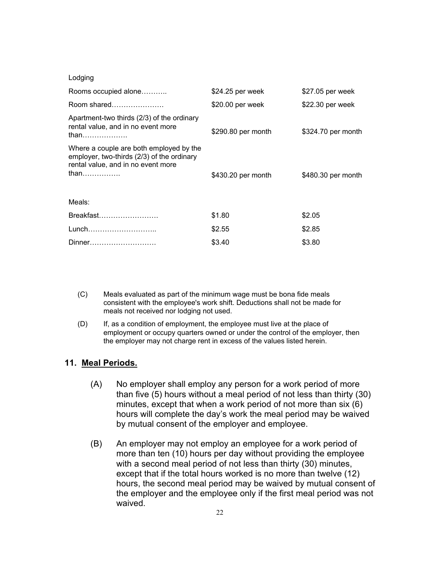| Lodging                                                                                                                             |                    |                    |
|-------------------------------------------------------------------------------------------------------------------------------------|--------------------|--------------------|
| Rooms occupied alone                                                                                                                | $$24.25$ per week  | \$27.05 per week   |
| Room shared                                                                                                                         | \$20.00 per week   | \$22.30 per week   |
| Apartment-two thirds (2/3) of the ordinary<br>rental value, and in no event more<br>than                                            | \$290.80 per month | \$324.70 per month |
| Where a couple are both employed by the<br>employer, two-thirds (2/3) of the ordinary<br>rental value, and in no event more<br>than | \$430.20 per month | \$480.30 per month |
| Meals:                                                                                                                              |                    |                    |
| Breakfast                                                                                                                           | \$1.80             | \$2.05             |
| Lunch                                                                                                                               | \$2.55             | \$2.85             |
| Dinner                                                                                                                              | \$3.40             | \$3.80             |

- (C) Meals evaluated as part of the minimum wage must be bona fide meals consistent with the employee's work shift. Deductions shall not be made for meals not received nor lodging not used.
- (D) If, as a condition of employment, the employee must live at the place of employment or occupy quarters owned or under the control of the employer, then the employer may not charge rent in excess of the values listed herein.

#### **11. Meal Periods.**

- (A) No employer shall employ any person for a work period of more than five (5) hours without a meal period of not less than thirty (30) minutes, except that when a work period of not more than six (6) hours will complete the day's work the meal period may be waived by mutual consent of the employer and employee.
- (B) An employer may not employ an employee for a work period of more than ten (10) hours per day without providing the employee with a second meal period of not less than thirty (30) minutes, except that if the total hours worked is no more than twelve (12) hours, the second meal period may be waived by mutual consent of the employer and the employee only if the first meal period was not waived.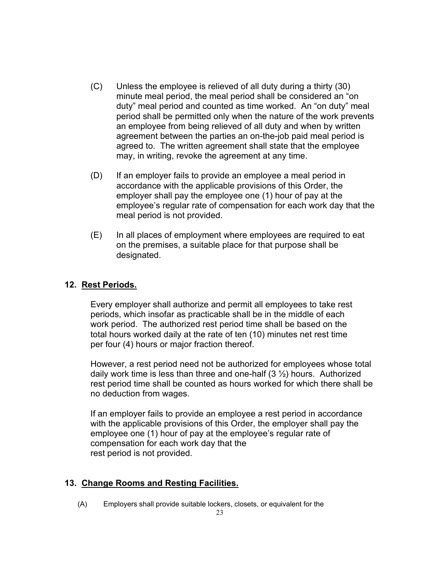- (C) Unless the employee is relieved of all duty during a thirty (30) minute meal period, the meal period shall be considered an "on duty" meal period and counted as time worked. An "on duty" meal period shall be permitted only when the nature of the work prevents an employee from being relieved of all duty and when by written agreement between the parties an on-the-job paid meal period is agreed to. The written agreement shall state that the employee may, in writing, revoke the agreement at any time.
- (D) If an employer fails to provide an employee a meal period in accordance with the applicable provisions of this Order, the employer shall pay the employee one (1) hour of pay at the employee's regular rate of compensation for each work day that the meal period is not provided.
- (E) In all places of employment where employees are required to eat on the premises, a suitable place for that purpose shall be designated.

### **12. Rest Periods.**

Every employer shall authorize and permit all employees to take rest periods, which insofar as practicable shall be in the middle of each work period. The authorized rest period time shall be based on the total hours worked daily at the rate of ten (10) minutes net rest time per four (4) hours or major fraction thereof.

However, a rest period need not be authorized for employees whose total daily work time is less than three and one-half  $(3 \frac{1}{2})$  hours. Authorized rest period time shall be counted as hours worked for which there shall be no deduction from wages.

If an employer fails to provide an employee a rest period in accordance with the applicable provisions of this Order, the employer shall pay the employee one (1) hour of pay at the employee's regular rate of compensation for each work day that the rest period is not provided.

### **13. Change Rooms and Resting Facilities.**

(A) Employers shall provide suitable lockers, closets, or equivalent for the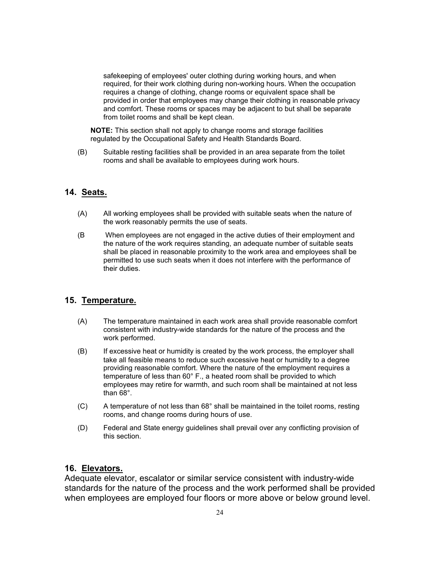safekeeping of employees' outer clothing during working hours, and when required, for their work clothing during non-working hours. When the occupation requires a change of clothing, change rooms or equivalent space shall be provided in order that employees may change their clothing in reasonable privacy and comfort. These rooms or spaces may be adjacent to but shall be separate from toilet rooms and shall be kept clean.

**NOTE:** This section shall not apply to change rooms and storage facilities regulated by the Occupational Safety and Health Standards Board.

(B) Suitable resting facilities shall be provided in an area separate from the toilet rooms and shall be available to employees during work hours.

#### **14. Seats.**

- (A) All working employees shall be provided with suitable seats when the nature of the work reasonably permits the use of seats.
- (B When employees are not engaged in the active duties of their employment and the nature of the work requires standing, an adequate number of suitable seats shall be placed in reasonable proximity to the work area and employees shall be permitted to use such seats when it does not interfere with the performance of their duties.

#### **15. Temperature.**

- (A) The temperature maintained in each work area shall provide reasonable comfort consistent with industry-wide standards for the nature of the process and the work performed.
- (B) If excessive heat or humidity is created by the work process, the employer shall take all feasible means to reduce such excessive heat or humidity to a degree providing reasonable comfort. Where the nature of the employment requires a temperature of less than 60° F., a heated room shall be provided to which employees may retire for warmth, and such room shall be maintained at not less than 68°.
- $(C)$  A temperature of not less than  $68^\circ$  shall be maintained in the toilet rooms, resting rooms, and change rooms during hours of use.
- (D) Federal and State energy guidelines shall prevail over any conflicting provision of this section.

#### **16. Elevators.**

Adequate elevator, escalator or similar service consistent with industry-wide standards for the nature of the process and the work performed shall be provided when employees are employed four floors or more above or below ground level.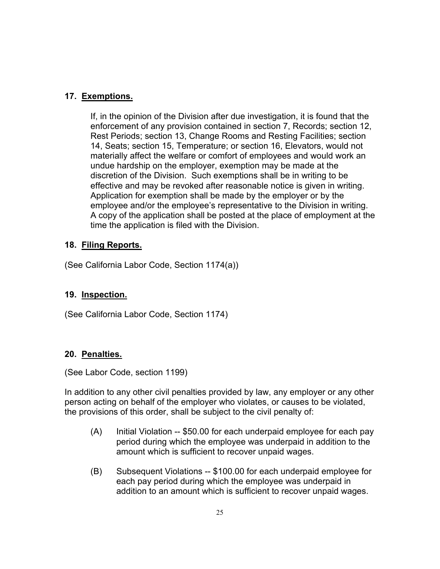## **17. Exemptions.**

If, in the opinion of the Division after due investigation, it is found that the enforcement of any provision contained in section 7, Records; section 12, Rest Periods; section 13, Change Rooms and Resting Facilities; section 14, Seats; section 15, Temperature; or section 16, Elevators, would not materially affect the welfare or comfort of employees and would work an undue hardship on the employer, exemption may be made at the discretion of the Division. Such exemptions shall be in writing to be effective and may be revoked after reasonable notice is given in writing. Application for exemption shall be made by the employer or by the employee and/or the employee's representative to the Division in writing. A copy of the application shall be posted at the place of employment at the time the application is filed with the Division.

## **18. Filing Reports.**

(See California Labor Code, Section 1174(a))

## **19. Inspection.**

(See California Labor Code, Section 1174)

## **20. Penalties.**

(See Labor Code, section 1199)

In addition to any other civil penalties provided by law, any employer or any other person acting on behalf of the employer who violates, or causes to be violated, the provisions of this order, shall be subject to the civil penalty of:

- (A) Initial Violation -- \$50.00 for each underpaid employee for each pay period during which the employee was underpaid in addition to the amount which is sufficient to recover unpaid wages.
- (B) Subsequent Violations -- \$100.00 for each underpaid employee for each pay period during which the employee was underpaid in addition to an amount which is sufficient to recover unpaid wages.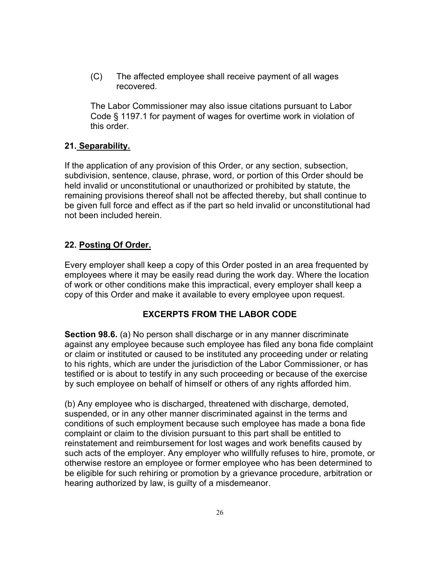(C) The affected employee shall receive payment of all wages recovered.

The Labor Commissioner may also issue citations pursuant to Labor Code § 1197.1 for payment of wages for overtime work in violation of this order.

### **21. Separability.**

If the application of any provision of this Order, or any section, subsection, subdivision, sentence, clause, phrase, word, or portion of this Order should be held invalid or unconstitutional or unauthorized or prohibited by statute, the remaining provisions thereof shall not be affected thereby, but shall continue to be given full force and effect as if the part so held invalid or unconstitutional had not been included herein.

### **22. Posting Of Order.**

Every employer shall keep a copy of this Order posted in an area frequented by employees where it may be easily read during the work day. Where the location of work or other conditions make this impractical, every employer shall keep a copy of this Order and make it available to every employee upon request.

### **EXCERPTS FROM THE LABOR CODE**

**Section 98.6.** (a) No person shall discharge or in any manner discriminate against any employee because such employee has filed any bona fide complaint or claim or instituted or caused to be instituted any proceeding under or relating to his rights, which are under the jurisdiction of the Labor Commissioner, or has testified or is about to testify in any such proceeding or because of the exercise by such employee on behalf of himself or others of any rights afforded him.

(b) Any employee who is discharged, threatened with discharge, demoted, suspended, or in any other manner discriminated against in the terms and conditions of such employment because such employee has made a bona fide complaint or claim to the division pursuant to this part shall be entitled to reinstatement and reimbursement for lost wages and work benefits caused by such acts of the employer. Any employer who willfully refuses to hire, promote, or otherwise restore an employee or former employee who has been determined to be eligible for such rehiring or promotion by a grievance procedure, arbitration or hearing authorized by law, is guilty of a misdemeanor.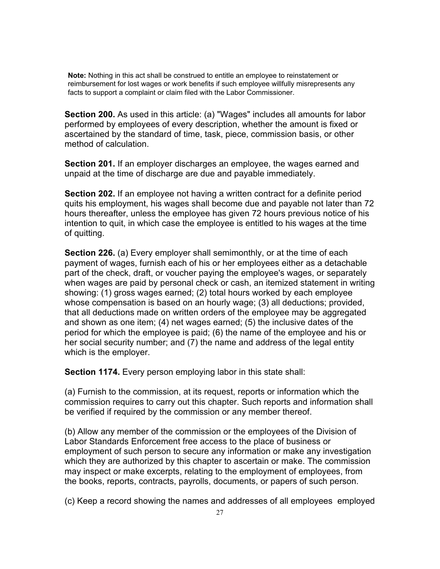**Note:** Nothing in this act shall be construed to entitle an employee to reinstatement or reimbursement for lost wages or work benefits if such employee willfully misrepresents any facts to support a complaint or claim filed with the Labor Commissioner.

**Section 200.** As used in this article: (a) "Wages" includes all amounts for labor performed by employees of every description, whether the amount is fixed or ascertained by the standard of time, task, piece, commission basis, or other method of calculation.

**Section 201.** If an employer discharges an employee, the wages earned and unpaid at the time of discharge are due and payable immediately.

**Section 202.** If an employee not having a written contract for a definite period quits his employment, his wages shall become due and payable not later than 72 hours thereafter, unless the employee has given 72 hours previous notice of his intention to quit, in which case the employee is entitled to his wages at the time of quitting.

**Section 226.** (a) Every employer shall semimonthly, or at the time of each payment of wages, furnish each of his or her employees either as a detachable part of the check, draft, or voucher paying the employee's wages, or separately when wages are paid by personal check or cash, an itemized statement in writing showing: (1) gross wages earned; (2) total hours worked by each employee whose compensation is based on an hourly wage; (3) all deductions; provided, that all deductions made on written orders of the employee may be aggregated and shown as one item; (4) net wages earned; (5) the inclusive dates of the period for which the employee is paid; (6) the name of the employee and his or her social security number; and (7) the name and address of the legal entity which is the employer.

**Section 1174.** Every person employing labor in this state shall:

(a) Furnish to the commission, at its request, reports or information which the commission requires to carry out this chapter. Such reports and information shall be verified if required by the commission or any member thereof.

(b) Allow any member of the commission or the employees of the Division of Labor Standards Enforcement free access to the place of business or employment of such person to secure any information or make any investigation which they are authorized by this chapter to ascertain or make. The commission may inspect or make excerpts, relating to the employment of employees, from the books, reports, contracts, payrolls, documents, or papers of such person.

(c) Keep a record showing the names and addresses of all employees employed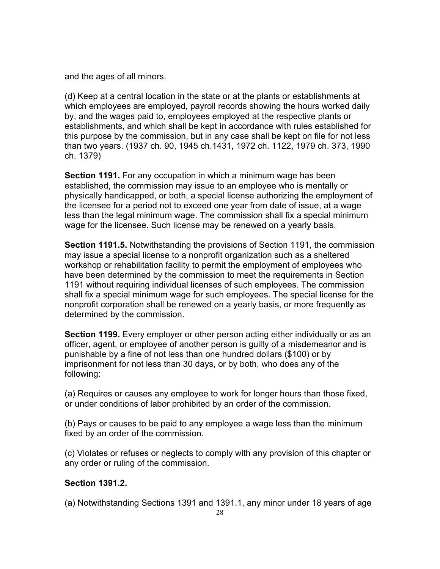and the ages of all minors.

(d) Keep at a central location in the state or at the plants or establishments at which employees are employed, payroll records showing the hours worked daily by, and the wages paid to, employees employed at the respective plants or establishments, and which shall be kept in accordance with rules established for this purpose by the commission, but in any case shall be kept on file for not less than two years. (1937 ch. 90, 1945 ch.1431, 1972 ch. 1122, 1979 ch. 373, 1990 ch. 1379)

**Section 1191.** For any occupation in which a minimum wage has been established, the commission may issue to an employee who is mentally or physically handicapped, or both, a special license authorizing the employment of the licensee for a period not to exceed one year from date of issue, at a wage less than the legal minimum wage. The commission shall fix a special minimum wage for the licensee. Such license may be renewed on a yearly basis.

**Section 1191.5.** Notwithstanding the provisions of Section 1191, the commission may issue a special license to a nonprofit organization such as a sheltered workshop or rehabilitation facility to permit the employment of employees who have been determined by the commission to meet the requirements in Section 1191 without requiring individual licenses of such employees. The commission shall fix a special minimum wage for such employees. The special license for the nonprofit corporation shall be renewed on a yearly basis, or more frequently as determined by the commission.

**Section 1199.** Every employer or other person acting either individually or as an officer, agent, or employee of another person is guilty of a misdemeanor and is punishable by a fine of not less than one hundred dollars (\$100) or by imprisonment for not less than 30 days, or by both, who does any of the following:

(a) Requires or causes any employee to work for longer hours than those fixed, or under conditions of labor prohibited by an order of the commission.

(b) Pays or causes to be paid to any employee a wage less than the minimum fixed by an order of the commission.

(c) Violates or refuses or neglects to comply with any provision of this chapter or any order or ruling of the commission.

## **Section 1391.2.**

(a) Notwithstanding Sections 1391 and 1391.1, any minor under 18 years of age